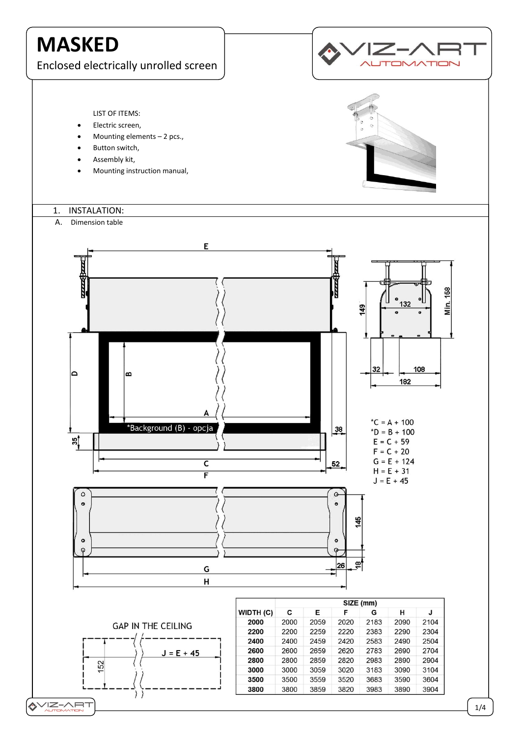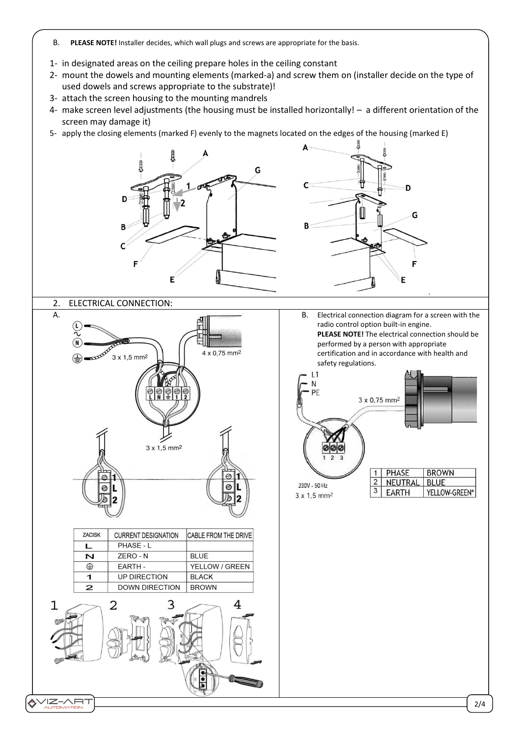- B. **PLEASE NOTE!** Installer decides, which wall plugs and screws are appropriate for the basis.
- 1- in designated areas on the ceiling prepare holes in the ceiling constant
- 2- mount the dowels and mounting elements (marked-a) and screw them on (installer decide on the type of used dowels and screws appropriate to the substrate)!
- 3- attach the screen housing to the mounting mandrels
- 4- make screen level adjustments (the housing must be installed horizontally! a different orientation of the screen may damage it)
- 5- apply the closing elements (marked F) evenly to the magnets located on the edges of the housing (marked E)

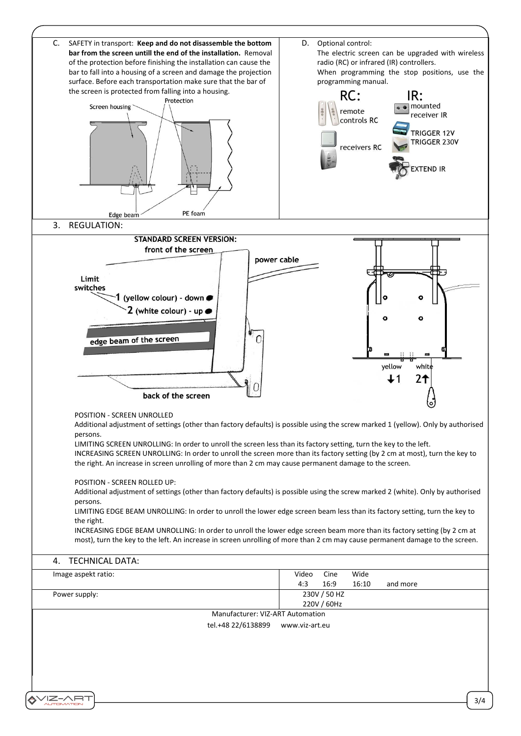